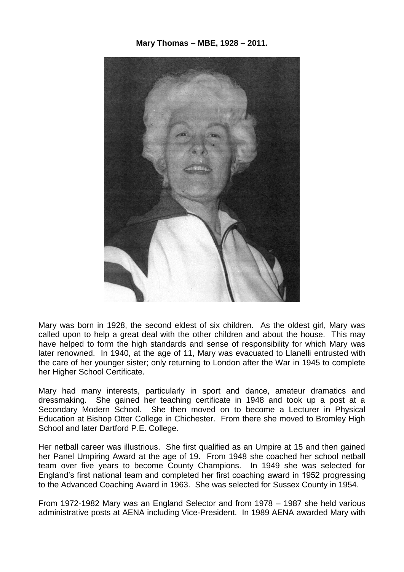**Mary Thomas – MBE, 1928 – 2011.**



Mary was born in 1928, the second eldest of six children. As the oldest girl, Mary was called upon to help a great deal with the other children and about the house. This may have helped to form the high standards and sense of responsibility for which Mary was later renowned. In 1940, at the age of 11, Mary was evacuated to Llanelli entrusted with the care of her younger sister; only returning to London after the War in 1945 to complete her Higher School Certificate.

Mary had many interests, particularly in sport and dance, amateur dramatics and dressmaking. She gained her teaching certificate in 1948 and took up a post at a Secondary Modern School. She then moved on to become a Lecturer in Physical Education at Bishop Otter College in Chichester. From there she moved to Bromley High School and later Dartford P.E. College.

Her netball career was illustrious. She first qualified as an Umpire at 15 and then gained her Panel Umpiring Award at the age of 19. From 1948 she coached her school netball team over five years to become County Champions. In 1949 she was selected for England's first national team and completed her first coaching award in 1952 progressing to the Advanced Coaching Award in 1963. She was selected for Sussex County in 1954.

From 1972-1982 Mary was an England Selector and from 1978 – 1987 she held various administrative posts at AENA including Vice-President. In 1989 AENA awarded Mary with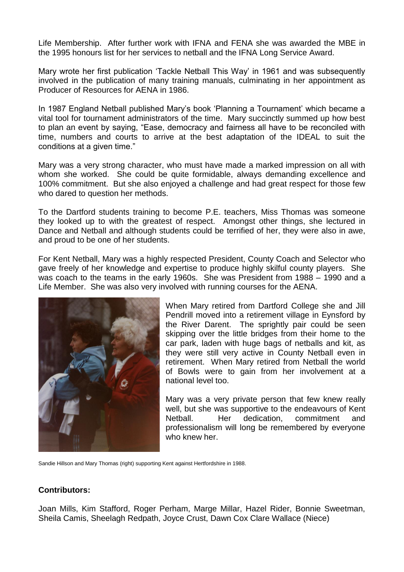Life Membership. After further work with IFNA and FENA she was awarded the MBE in the 1995 honours list for her services to netball and the IFNA Long Service Award.

Mary wrote her first publication 'Tackle Netball This Way' in 1961 and was subsequently involved in the publication of many training manuals, culminating in her appointment as Producer of Resources for AENA in 1986.

In 1987 England Netball published Mary's book 'Planning a Tournament' which became a vital tool for tournament administrators of the time. Mary succinctly summed up how best to plan an event by saying, "Ease, democracy and fairness all have to be reconciled with time, numbers and courts to arrive at the best adaptation of the IDEAL to suit the conditions at a given time."

Mary was a very strong character, who must have made a marked impression on all with whom she worked. She could be quite formidable, always demanding excellence and 100% commitment. But she also enjoyed a challenge and had great respect for those few who dared to question her methods.

To the Dartford students training to become P.E. teachers, Miss Thomas was someone they looked up to with the greatest of respect. Amongst other things, she lectured in Dance and Netball and although students could be terrified of her, they were also in awe, and proud to be one of her students.

For Kent Netball, Mary was a highly respected President, County Coach and Selector who gave freely of her knowledge and expertise to produce highly skilful county players. She was coach to the teams in the early 1960s. She was President from 1988 – 1990 and a Life Member. She was also very involved with running courses for the AENA.



When Mary retired from Dartford College she and Jill Pendrill moved into a retirement village in Eynsford by the River Darent. The sprightly pair could be seen skipping over the little bridges from their home to the car park, laden with huge bags of netballs and kit, as they were still very active in County Netball even in retirement. When Mary retired from Netball the world of Bowls were to gain from her involvement at a national level too.

Mary was a very private person that few knew really well, but she was supportive to the endeavours of Kent Netball. Her dedication, commitment and professionalism will long be remembered by everyone who knew her

Sandie Hillson and Mary Thomas (right) supporting Kent against Hertfordshire in 1988.

## **Contributors:**

Joan Mills, Kim Stafford, Roger Perham, Marge Millar, Hazel Rider, Bonnie Sweetman, Sheila Camis, Sheelagh Redpath, Joyce Crust, Dawn Cox Clare Wallace (Niece)